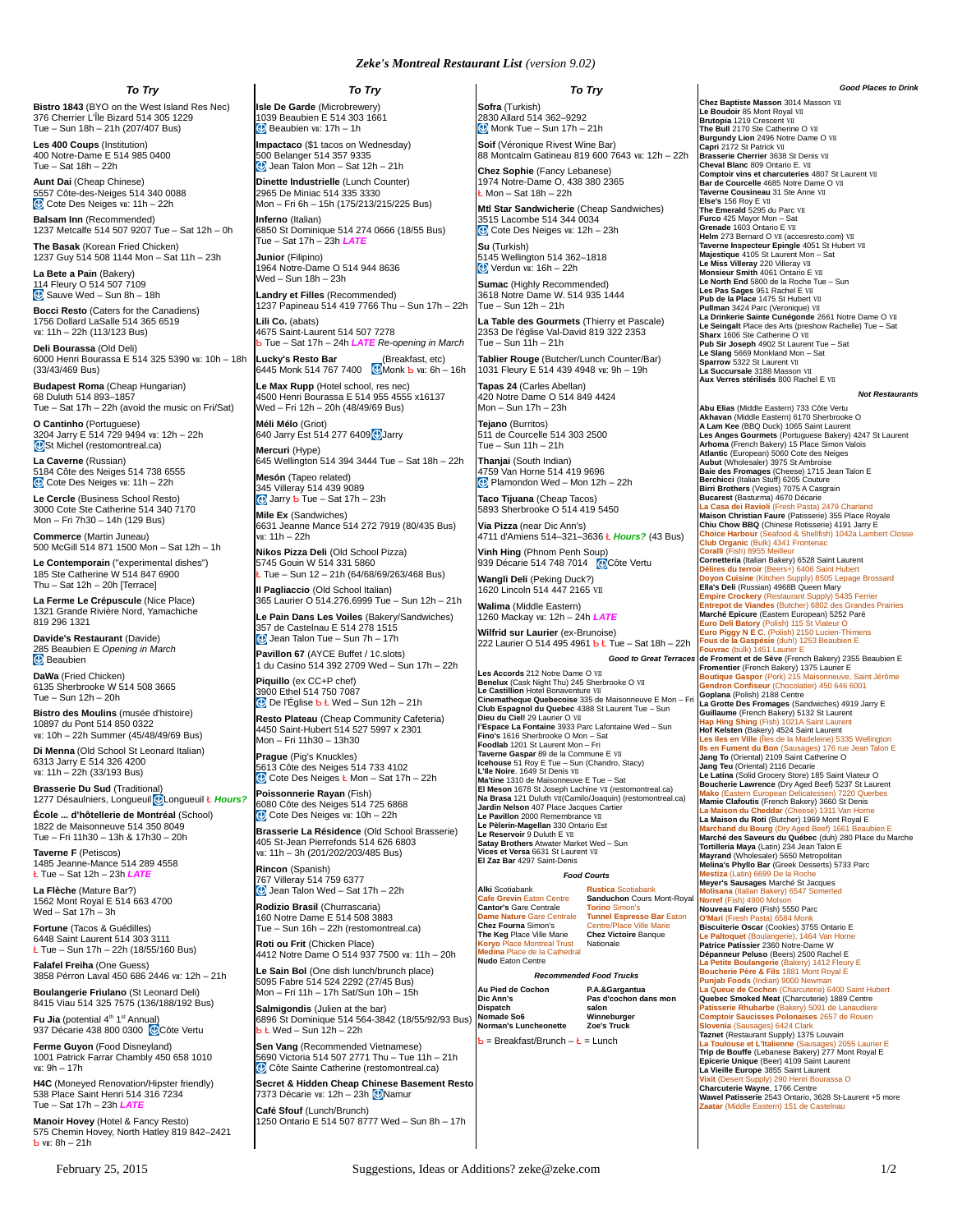## *Zeke's Montreal Restaurant List (version 9.02)*

*To Try*

**Bistro 1843** (BYO on the West Island Res Nec) 376 Cherrier L'Île Bizard 514 305 1229 Tue – Sun 18h – 21h (207/407 Bus)

**Les 400 Coups** (Institution) 400 Notre-Dame E 514 985 0400 Tue – Sat 18h – 22h

**Aunt Dai** (Cheap Chinese) 5557 Côte-des-Neiges 514 340 0088 Cote Des Neiges vii: 11h - 22h

**Balsam Inn** (Recommended) 1237 Metcalfe 514 507 9207 Tue – Sat 12h – 0h **The Basak** (Korean Fried Chicken)

1237 Guy 514 508 1144 Mon – Sat 11h – 23h **La Bete a Pain** (Bakery)

114 Fleury O 514 507 7109 Sauve Wed – Sun 8h – 18h **Bocci Resto** (Caters for the Canadiens) 1756 Dollard LaSalle 514 365 6519 VII: 11h – 22h (113/123 Bus)

**Deli Bourassa** (Old Deli) 6000 Henri Bourassa E 514 325 5390 Ⅶ: 10h – 18h (33/43/469 Bus)

**Budapest Roma** (Cheap Hungarian) 68 Duluth 514 893–1857 Tue – Sat 17h – 22h (avoid the music on Fri/Sat)

**O Cantinho** (Portuguese) 3204 Jarry E 514 729 9494 Ⅶ: 12h – 22h  $S204$  Jaily L 314  $725$  5454 Vil.

**La Caverne** (Russian) 5184 Côte des Neiges 514 738 6555 Cote Des Neiges vii: 11h - 22h

**Le Cercle** (Business School Resto) 3000 Cote Ste Catherine 514 340 7170 Mon – Fri 7h30 – 14h (129 Bus)

**Commerce** (Martin Juneau) 500 McGill 514 871 1500 Mon – Sat 12h – 1h

**Le Contemporain** ("experimental dishes") 185 Ste Catherine W 514 847 6900 Thu – Sat 12h – 20h [Terrace]

**La Ferme Le Crépuscule** (Nice Place) 1321 Grande Rivière Nord, Yamachiche 819 296 1321

**Davide's Restaurant** (Davide) 285 Beaubien E *Opening in March* **Beaubien** 

**DaWa** (Fried Chicken) 6135 Sherbrooke W 514 508 3665 Tue – Sun 12h – 20h

**Bistro des Moulins** (musée d'histoire) 10897 du Pont 514 850 0322 VII: 10h – 22h Summer (45/48/49/69 Bus)

**Di Menna** (Old School St Leonard Italian) 6313 Jarry E 514 326 4200 Ⅶ: 11h – 22h (33/193 Bus)

**Brasserie Du Sud** (Traditional) 1277 Désaulniers, Longueuil CLongueuil Ł Hours?

**École ... d'hôtellerie de Montréal** (School) 1822 de Maisonneuve 514 350 8049 Tue – Fri 11h30 – 13h & 17h30 – 20h

**Taverne F** (Petiscos) 1485 Jeanne-Mance 514 289 4558 Ł Tue – Sat 12h – 23h *LATE*

**La Flèche** (Mature Bar?) 1562 Mont Royal E 514 663 4700 Wed – Sat  $17h - 3h$ 

**Fortune** (Tacos & Guédilles) 6448 Saint Laurent 514 303 3111 Ł Tue – Sun 17h – 22h (18/55/160 Bus)

**Falafel Freiha** (One Guess) 3858 Pérron Laval 450 686 2446 Ⅶ: 12h – 21h

**Boulangerie Friulano** (St Leonard Deli) 8415 Viau 514 325 7575 (136/188/192 Bus)

**Fu Jia** (potential 4<sup>th</sup> 1<sup>st</sup> Annual) 937 Décarie 438 800 0300 C Côte Vertu

**Ferme Guyon** (Food Disneyland) 1001 Patrick Farrar Chambly 450 658 1010 Ⅶ: 9h – 17h

**H4C** (Moneyed Renovation/Hipster friendly) 538 Place Saint Henri 514 316 7234 Tue – Sat 17h – 23h *LAT* 

**Manoir Hovey** (Hotel & Fancy Resto) 575 Chemin Hovey, North Hatley 819 842–2421  **wi:**  $8h - 21h$ 

*To Try* **Isle De Garde** (Microbrewery) 1039 Beaubien E 514 303 1661  $\bigcirc$  Beaubien  $\mathbf{w}$ : 17h – 1h

**Impactaco** (\$1 tacos on Wednesday) 500 Belanger 514 357 9335 Jean Talon Mon – Sat 12h – 21h **Dinette Industrielle** (Lunch Counter)

2965 De Miniac 514 335 3330 Mon – Fri 6h – 15h (175/213/215/225 Bus) **Inferno** (Italian)

6850 St Dominique 514 274 0666 (18/55 Bus) Tue – Sat 17h – 23h *LATE* **Junior** (Filipino)

1964 Notre-Dame O 514 944 8636 Wed – Sun 18h – 23h

**Landry et Filles** (Recommended) 1237 Papineau 514 419 7766 Thu – Sun 17h – 22h **Lili Co.** (abats)

4675 Saint-Laurent 514 507 7278 Ƅ Tue – Sat 17h – 24h *LATE Re-*o*pening in March*

L**ucky's Resto Bar** (Breakfast, etc)<br>6445 Monk 514 767 7400 **Monk b** vii: 6h – 16h

**Le Max Rupp** (Hotel school, res nec) 4500 Henri Bourassa E 514 955 4555 x16137 Wed – Fri 12h – 20h (48/49/69 Bus)

**Méli Mélo** (Griot) 640 Jarry Est 514 277 6409 Jarry

**Mercuri** (Hype) 645 Wellington 514 394 3444 Tue – Sat 18h – 22h **Mesón** (Tapeo related)

345 Villeray 514 439 9089 Jarry Ƅ Tue – Sat 17h – 23h **Mile Ex** (Sandwiches)

6631 Jeanne Mance 514 272 7919 (80/435 Bus) Ⅶ: 11h – 22h

**Nikos Pizza Deli** (Old School Pizza) 5745 Gouin W 514 331 5860 Ł Tue – Sun 12 – 21h (64/68/69/263/468 Bus)

**Il Pagliaccio** (Old School Italian) 365 Laurier O 514.276.6999 Tue – Sun 12h – 21h **Le Pain Dans Les Voiles** (Bakery/Sandwiches) 357 de Castelnau E 514 278 1515

 Jean Talon Tue – Sun 7h – 17h **Pavillon 67** (AYCE Buffet / 1¢.slots) 1 du Casino 514 392 2709 Wed – Sun 17h – 22h

**Piquillo** (ex CC+P chef) 3900 Ethel 514 750 7087 **De l'Église b Ł Wed – Sun 12h – 21h** 

**Resto Plateau** (Cheap Community Cafeteria) 4450 Saint-Hubert 514 527 5997 x 2301 Mon – Fri 11h30 – 13h30

**Prague** (Pig's Knuckles) 5613 Côte des Neiges 514 733 4102 Cote Des Neiges Ł Mon – Sat 17h – 22h **Poissonnerie Rayan** (Fish)

6080 Côte des Neiges 514 725 6868 Cote Des Neiges vii: 10h - 22h **Brasserie La Résidence** (Old School Brasserie)

405 St-Jean Pierrefonds 514 626 6803 Ⅶ: 11h – 3h (201/202/203/485 Bus)

**Rincon** (Spanish) 767 Villeray 514 759 6377 Jean Talon Wed – Sat 17h – 22h

**Rodizio Brasil** (Churrascaria) 160 Notre Dame E 514 508 3883 Tue – Sun 16h – 22h (restomontreal.ca)

**Roti ou Frit** (Chicken Place) 4412 Notre Dame O 514 937 7500 Ⅶ: 11h – 20h **Le Sain Bol** (One dish lunch/brunch place)

5095 Fabre 514 524 2292 (27/45 Bus) Mon – Fri 11h – 17h Sat/Sun 10h – 15h **Salmigondis** (Julien at the bar)

6896 St Dominique 514 564-3842 (18/55/92/93 Bus)  $\frac{1}{2}$  **L** Wed – Sun 12h – 22h

**Sen Vang** (Recommended Vietnamese) 5690 Victoria 514 507 2771 Thu – Tue 11h – 21h Côte Sainte Catherine (restomontreal.ca)

**Secret & Hidden Cheap Chinese Basement Resto** 7373 Décarie Ⅶ: 12h – 23h CNamur **Café Sfouf** (Lunch/Brunch) 1250 Ontario E 514 507 8777 Wed – Sun 8h – 17h

**Sofra** (Turkish)

2830 Allard 514 362-9292 **Monk Tue – Sun 17h – 21h Soif** (Véronique Rivest Wine Bar)

88 Montcalm Gatineau 819 600 7643 Ⅶ: 12h – 22h **Chez Sophie** (Fancy Lebanese)

*To Try*

1974 Notre-Dame O, 438 380 2365  $Mon - Sat$  18h – 22h

**Mtl Star Sandwicherie** (Cheap Sandwiches) 3515 Lacombe 514 344 0034 Cote Des Neiges vii: 12h – 23h

**Su** (Turkish) 5145 Wellington 514 362-1818  $\overline{\textcircled{0}}$  Verdun  $\text{w}$ : 16h – 22h

**Sumac** (Highly Recommended) 3618 Notre Dame W. 514 935 1444 Tue – Sun 12h – 21h

**La Table des Gourmets** (Thierry et Pascale) 2353 De l'église Val-David 819 322 2353 Tue – Sun 11h – 21h

**Tablier Rouge** (Butcher/Lunch Counter/Bar) 1031 Fleury E 514 439 4948 Ⅶ: 9h – 19h **Tapas 24** (Carles Abellan)

420 Notre Dame O 514 849 4424 Mon – Sun 17h – 23h

**Tejano** (Burritos) 511 de Courcelle 514 303 2500 Tue – Sun 11h – 21h

**Thanjai** (South Indian) 4759 Van Horne 514 419 9696 Plamondon Wed – Mon 12h – 22h

**Taco Tijuana** (Cheap Tacos) 5893 Sherbrooke O 514 419 5450

**Via Pizza** (near Dic Ann's) 4711 d'Amiens 514–321–3636 Ł *Hours?* (43 Bus)

**Vinh Hing** (Phnom Penh Soup)<br>939 Décarie 514 748 7014 - <mark>O</mark>Côte Vertu **Wangli Deli** (Peking Duck?) 1620 Lincoln 514 447 2165 Ⅶ

**Walima** (Middle Eastern) 1260 Mackay Ⅶ: 12h – 24h *LATE*

**Wilfrid sur Laurier** (ex-Brunoise) 222 Laurier O 514 495 4961 Ƅ Ł Tue – Sat 18h – 22h *Good to Great Terraces*

**Les Accords** 212 Notre Dame O Ⅶ **Benelux** (Cask Night Thu) 245 Sherbrooke O Ⅶ **Le Castillion** Hotel Bonaventure Ⅶ **Cinematheque Quebecoise** 335 de Maisonneuve E Mon – Fri **Club Espagnol du Quebec** 4388 St Laurent Tue – Sun **Dieu du Ciel!** 29 Laurier O v<u>π</u><br>l**'Espace La Fontaine** 3933 Parc Lafontaine Wed – Sun<br>**Fino's** 1616 Sherbrooke O Mon – Sat<br>**Foodlab** 1201 St Laurent Mon – Fri Taverne Gaspar 89 de la Commune E VII<br>I**cehouse** 51 Roy E Tue – Sun (Chandro, Stacy)<br>**L'Ile Noire.** 1649 St Denis VII<br>**Ma'tine 1**310 de Maisonneuve E Tue – Sat<br>**El Meson** 1678 St Joseph Lachine VII (restomontreal.ca) **Na Brasa** 121 Duluth VII (Camilo/Joaquin) (restomontreal.ca) **Jardin Nelson** 407 Place Jacques Cartier **Le Pavillon** 2000 Remembrance Ⅶ **Le Pèlerin-Magellan** 330 Ontario Est **Le Reservoir** 9 Duluth E Ⅶ **Satay Brothers** Atwater Market Wed – Sun **Vices et Versa** 6631 St Laurent Ⅶ **El Zaz Bar** 4297 Saint-Denis

*Food Courts* **Alki** Scotiabank **Rustica** Scotiabank

**Cafe Grevin** Eaton Centre **Cantor's** Gare Centrale **Dame Nature** Gare Centrale **Chez Fourna** Simon's **The Keg** Place Ville Marie **Koryo** Place Montreal Trust **Medina** Place de la Cathedral **Nudo** Eaton Centre **Sanduchon** Cours Mont-Royal **Torino** Simon's **Tunnel Espresso Bar** Eaton e/Place Ville Marie **Chez Victoire** Banque Nationale

*Recommended Food Trucks*

**Au Pied de Cochon Nomade So6 Norman's Luncheonette P.A.&Gargantua Pas d'cochon dans mon salon Winneburger Zoe's Truck**  $\epsilon$  = Breakfast/Brunch –  $\epsilon$  = Lunch

## *Good Places to Drink*

**Chez Baptiste Masson** 3014 Masson Ⅶ **Le Boudoir** 85 Mont Royal Ⅶ **Brutopia** 1219 Crescent Ⅶ **The Bull** 2170 Ste Catherine O Ⅶ Burgundy Lion 2496 Notre Dame O VII<br>Capri 2172 St Patrick VII<br>Brasserie Cherrier 3638 St Denis VII<br>Cheval Blanc 809 Ontario E. VII<br>Comptoir vins et charcuteries 4807 St Laurent VII<br>Bar de Courcelle 4685 Notre Dame O VII **Taverne Cousineau** 31 Ste Anne Ⅶ **Else's** 156 Roy E Ⅶ **The Emerald** 5295 du Parc Ⅶ **Furco** 425 Mayor Mon – Sat **Grenade** 1603 Ontario E Ⅶ **Helm** 273 Bernard O Ⅶ (accesresto.com) Ⅶ **Taverne Inspecteur Epingle** 4051 St Hubert Ⅶ **Majestique** 4105 St Laurent Mon – Sat **Le Miss Villeray** 220 Villeray Ⅶ Monsieur Smith 4061 Ontario E vit<br>Le North End 5800 de la Roche Tue – Sun<br>Les Pas Sages 951 Rachel E vit<br>Pub de la Place 1475 St Hubert vit<br>Pullman 3424 Parc (Veronique) VI<br>Le Seingalt Place des Arts (preshow Rachelle) Tue **Sharx** 1606 Ste Catherine O Ⅶ<br>**Pub Sir Joseph** 4902 St Laurent Tue – Sat<br>**Le Slang** 5669 Monkland Mon – Sat<br>**Sparrow** 5322 St Laurent Ⅶ<br>**La Succursale** 3188 Masson Ⅶ **Aux Verres stérilisés** 800 Rachel E Ⅶ *Not Restaurants*

**Abu Elias** (Middle Eastern) 733 Côte Vertu

Akhavan (Middle Eastern) 6170 Sherbrooke O<br>A Lam Kee (BBQ Duck) 1065 Saint Laurent<br>Les Anges Gourmets (Portuguese Bakery) 4247 St Laurent<br>Artantic (European) 5060 Cote des Neiges<br>Atlantic (European) 5060 Cote des Neiges **Aubut** (Wholesaler) 3975 St Ambroise<br>**Baie des Fromages** (Cheese) 1715 Jean Talon E<br>**Berchicci (I**talian Stuff) 6205 Couture<br>**Birri Brothers** (Vegies) 7075 A Casgrain<br>**Bucarest** (Basturma) 4670 Décarie **La Casa dei Ravioli** (Fresh Pasta) 2479 Charland Maison Christian Faure (Patisserie) 355 Place Royale<br>Chiu Chow BBQ (Chinese Rotisserie) 4191 Jarry E<br>Chiu Chow BBQ (Chinese Rotisserie) 4191 Jarry E<br>Chu Organic (Bulk) 4341 Frontenac<br>Coralli (Fish) 8955 Meilleur **Cornetteria** (Italian Bakery) 6528 Saint Laurent **Délires du terroir (**Beers+) 6406 Saint Hubert<br>**Doyon Cuisine (**Kitchen Supply) 8505 Lepage Brossard<br>**Ella's Deli** (Russian) 4968B Queen Mary<br>**Empire Crockery (**Restaurant Supply) 5435 Ferrier<br>**Entrepot de Viandes** (Butch **Marché Epicure** (Eastern European) 5252 Paré **Euro Deli Batory** (Polish) 115 St Viateur O **Euro Piggy N E C**, (Polish) 2150 Lucien-Thimens **Fous de la Gaspésie** (duh!) 1253 Beaubien E **Fouvrac** (bulk) 1451 Laurier E **de Froment et de Sève** (French Bakery) 2355 Beaubien E **Fromentier** (French Bakery) 1375 Laurier E **Boutique Gaspor** (Pork) 215 Maisonneuve, Saint Jérôme **Gendron Confiseur** (Chocolatier) 450 646 6001 **Goplana** (Polish) 2188 Centre La Grotte Des Fromages (Sandwiches) 4919 Jarry E<br>Guillaume (French Bakery) 5132 St Laurent<br>Hap Hing Shing (Fish) 1021A Saint Laurent<br>Hof Kelsten (Bakery) 4524 Saint Laurent<br>Les Iles en Ville (Îles de la Madeleine) 5335 Wel **Jang To** (Oriental) 2109 Saint Catherine O **Jang Teu** (Oriental) 2116 Decarie **Le Latina** (Solid Grocery Store) 185 Saint Viateur O **Boucherie Lawrence** (Dry Aged Beef) 5237 St Laurent **Mako** (Eastern European Delicatessen) 7220 Querbes **Mamie Clafoutis** (French Bakery) 3660 St Denis **La Maison du Cheddar** (Cheese) 1311 Van Horne **La Maison du Roti** (Butcher) 1969 Mont Royal E **Marchand du Bourg** (Dry Aged Beef) 1661 Beaubien E **Marché des Saveurs du Québec** (duh) 280 Place du Marche **Tortilleria Maya** (Latin) 234 Jean Talon E **Mayrand** (Wholesaler) 5650 Metropolitan **Melina's Phyllo Bar** (Greek Desserts) 5733 Parc **Mestiza** (Latin) 6699 De la Roche **Meyer's Sausages** Marché St Jacques **Molisana** (Italian Bakery) 6547 Somerled **Norref** (Fish) 4900 Molson **Nouveau Falero** (Fish) 5550 Parc **O'Mari** (Fresh Pa **Biscuiterie Oscar** (Cookies) 3755 Ontario E **Le Paltoquet** (Boulangerie), 1464 Van Horne **Patrice Patissier** 2360 Notre-Dame W **Dépanneur Peluso** (Beers) 2500 Rachel E **La Petite Boulangerie** (Bakery) 1412 Fleury E **Boucherie Père & Fils** 1881 Mont Royal E **Punjab Foods** (Indian) 9000 Newman **La Todae** (Indian) 6666 Norman<br>**La Cochon** (Charcuterie) 6400 S **Quebec Smoked Meat** (Charcuterie) 1889 Centre **Patisserie Rhubarbe** (Bakery) 5091 de Lanaudiere **Comptoir Saucisses Polonaises** 2657 de Rouen <mark>Slovenia</mark> (Sausages) 6424 Clark<br>**Taznet** (Restaurant Supply) 1375 Louvain<br>**La Toulouse et L'Italienne (**Sausages) 2055 Laurier E<br>**Trip de Bouffe (**Lebanese Bakery) 277 Mont Royal E **Epicerie Unique** (Beer) 4109 Saint Laurent **La Vieille Europe** 3855 Saint Laurent **Vixit** (Desert Supply) 290 Henri Bourassa O **Charcuterie Wayne**, 1766 Centre **Wawel Patisserie** 2543 Ontario, 3628 St-Laurent +5 more

atar (Middle Eastern) 151 de Castelnau

**Dic Ann's Dispatch**